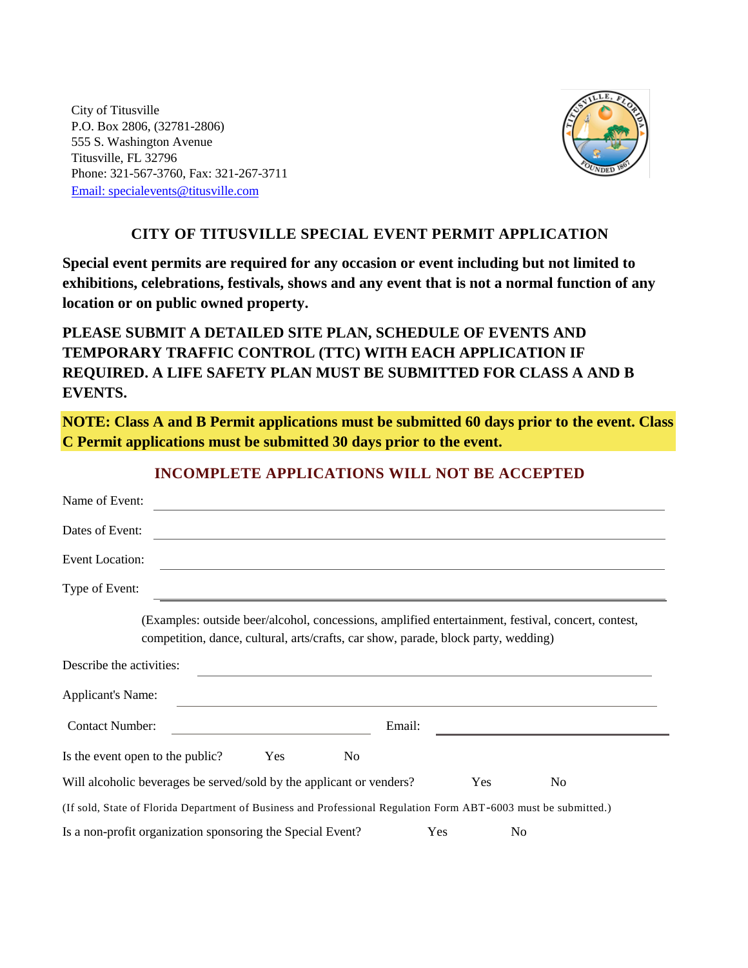City of Titusville P.O. Box 2806, (32781-2806) 555 S. Washington Avenue Titusville, FL 32796 Phone: 321-567-3760, Fax: 321-267-3711 [Email: specialevents@titusville.com](mailto:specialevents@titusville.com)



# **CITY OF TITUSVILLE SPECIAL EVENT PERMIT APPLICATION**

**Special event permits are required for any occasion or event including but not limited to exhibitions, celebrations, festivals, shows and any event that is not a normal function of any location or on public owned property.**

**PLEASE SUBMIT A DETAILED SITE PLAN, SCHEDULE OF EVENTS AND TEMPORARY TRAFFIC CONTROL (TTC) WITH EACH APPLICATION IF REQUIRED. A LIFE SAFETY PLAN MUST BE SUBMITTED FOR CLASS A AND B EVENTS.**

**NOTE: Class A and B Permit applications must be submitted 60 days prior to the event. Class C Permit applications must be submitted 30 days prior to the event.**

| Name of Event:                                                                                                                                                                           |            |
|------------------------------------------------------------------------------------------------------------------------------------------------------------------------------------------|------------|
| Dates of Event:                                                                                                                                                                          |            |
| <b>Event Location:</b>                                                                                                                                                                   |            |
| Type of Event:                                                                                                                                                                           |            |
| (Examples: outside beer/alcohol, concessions, amplified entertainment, festival, concert, contest,<br>competition, dance, cultural, arts/crafts, car show, parade, block party, wedding) |            |
| Describe the activities:                                                                                                                                                                 |            |
| <b>Applicant's Name:</b>                                                                                                                                                                 |            |
| <b>Contact Number:</b>                                                                                                                                                                   | Email:     |
| Is the event open to the public?<br><b>Yes</b><br>N <sub>o</sub>                                                                                                                         |            |
| Will alcoholic beverages be served/sold by the applicant or venders?                                                                                                                     | Yes<br>No. |
| (If sold, State of Florida Department of Business and Professional Regulation Form ABT-6003 must be submitted.)                                                                          |            |
| Is a non-profit organization sponsoring the Special Event?                                                                                                                               | Yes<br>No  |

# **INCOMPLETE APPLICATIONS WILL NOT BE ACCEPTED**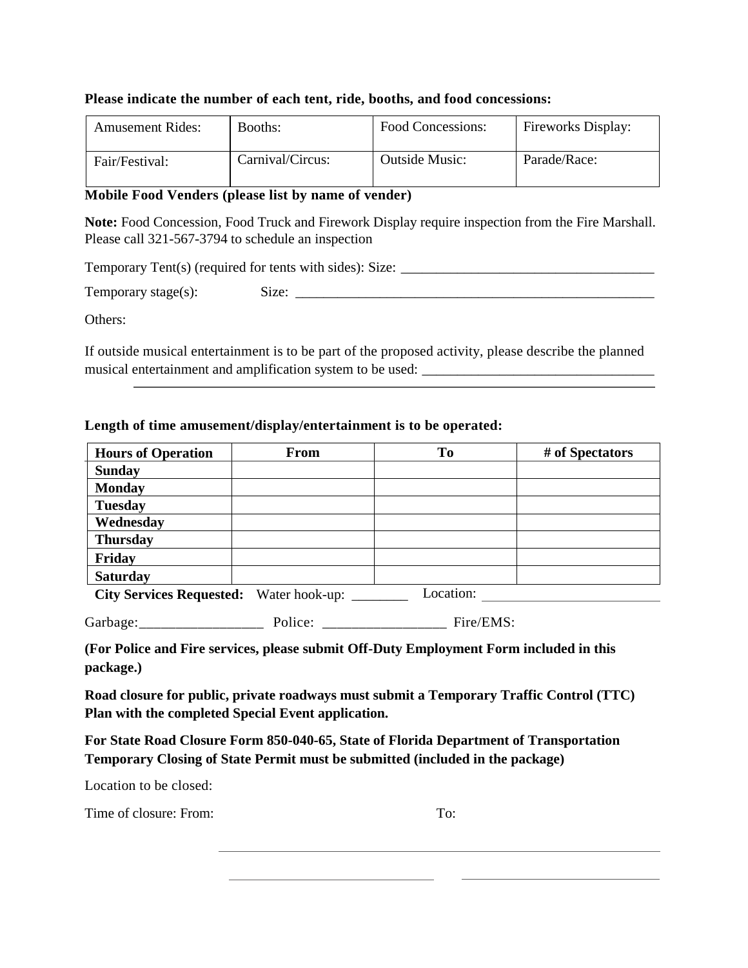## **Please indicate the number of each tent, ride, booths, and food concessions:**

| <b>Amusement Rides:</b> | Booths:          | Food Concessions: | <b>Fireworks Display:</b> |
|-------------------------|------------------|-------------------|---------------------------|
| Fair/Festival:          | Carnival/Circus: | Outside Music:    | Parade/Race:              |

## **Mobile Food Venders (please list by name of vender)**

**Note:** Food Concession, Food Truck and Firework Display require inspection from the Fire Marshall. Please call 321-567-3794 to schedule an inspection

Temporary Tent(s) (required for tents with sides): Size: \_\_\_\_\_\_\_\_\_\_\_\_\_\_\_\_\_\_\_\_\_\_\_\_

Temporary stage(s): Size: \_\_\_\_\_\_\_\_\_\_\_\_\_\_\_\_\_\_\_\_\_\_\_\_\_\_\_\_\_\_\_\_\_\_\_\_\_\_\_\_\_\_\_\_\_\_\_\_\_\_\_

Others:

If outside musical entertainment is to be part of the proposed activity, please describe the planned musical entertainment and amplification system to be used: \_\_\_\_\_\_\_\_\_\_\_\_\_\_\_\_\_\_\_\_\_\_

## **Length of time amusement/display/entertainment is to be operated:**

| <b>Hours of Operation</b>       | <b>From</b>    | To        | # of Spectators |
|---------------------------------|----------------|-----------|-----------------|
| <b>Sunday</b>                   |                |           |                 |
| <b>Monday</b>                   |                |           |                 |
| <b>Tuesday</b>                  |                |           |                 |
| Wednesday                       |                |           |                 |
| <b>Thursday</b>                 |                |           |                 |
| Friday                          |                |           |                 |
| <b>Saturday</b>                 |                |           |                 |
| <b>City Services Requested:</b> | Water hook-up: | Location: |                 |

| Garbage: | Police: |  | Fire/EMS: |
|----------|---------|--|-----------|
|----------|---------|--|-----------|

**(For Police and Fire services, please submit Off-Duty Employment Form included in this package.)**

**Road closure for public, private roadways must submit a Temporary Traffic Control (TTC) Plan with the completed Special Event application.**

**For State Road Closure Form 850-040-65, State of Florida Department of Transportation Temporary Closing of State Permit must be submitted (included in the package)**

Location to be closed:

Time of closure: From: To: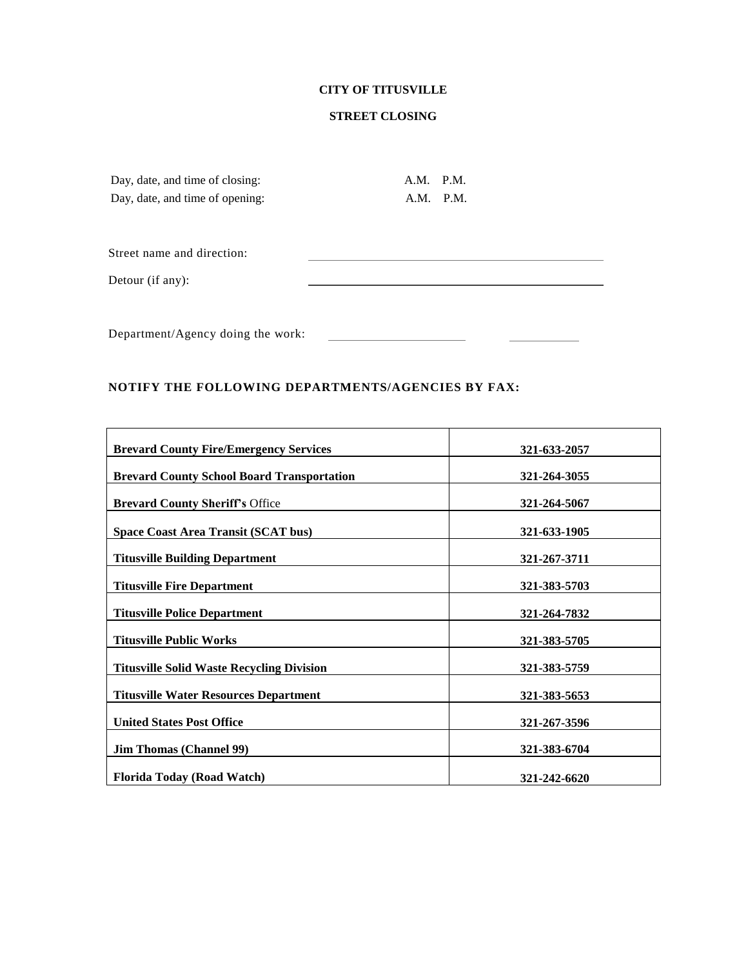## **CITY OF TITUSVILLE**

## **STREET CLOSING**

| Day, date, and time of closing: | A.M. P.M. |           |
|---------------------------------|-----------|-----------|
| Day, date, and time of opening: |           | A.M. P.M. |
| Street name and direction:      |           |           |
| Detour (if any):                |           |           |
|                                 |           |           |
|                                 |           |           |

Department/Agency doing the work:

## **NOTIFY THE FOLLOWING DEPARTMENTS/AGENCIES BY FAX:**

| <b>Brevard County Fire/Emergency Services</b>     | 321-633-2057 |
|---------------------------------------------------|--------------|
| <b>Brevard County School Board Transportation</b> | 321-264-3055 |
| <b>Brevard County Sheriff's Office</b>            | 321-264-5067 |
| Space Coast Area Transit (SCAT bus)               | 321-633-1905 |
| <b>Titusville Building Department</b>             | 321-267-3711 |
| <b>Titusville Fire Department</b>                 | 321-383-5703 |
| <b>Titusville Police Department</b>               | 321-264-7832 |
| <b>Titusville Public Works</b>                    | 321-383-5705 |
| <b>Titusville Solid Waste Recycling Division</b>  | 321-383-5759 |
| <b>Titusville Water Resources Department</b>      | 321-383-5653 |
| <b>United States Post Office</b>                  | 321-267-3596 |
| <b>Jim Thomas (Channel 99)</b>                    | 321-383-6704 |
| <b>Florida Today (Road Watch)</b>                 | 321-242-6620 |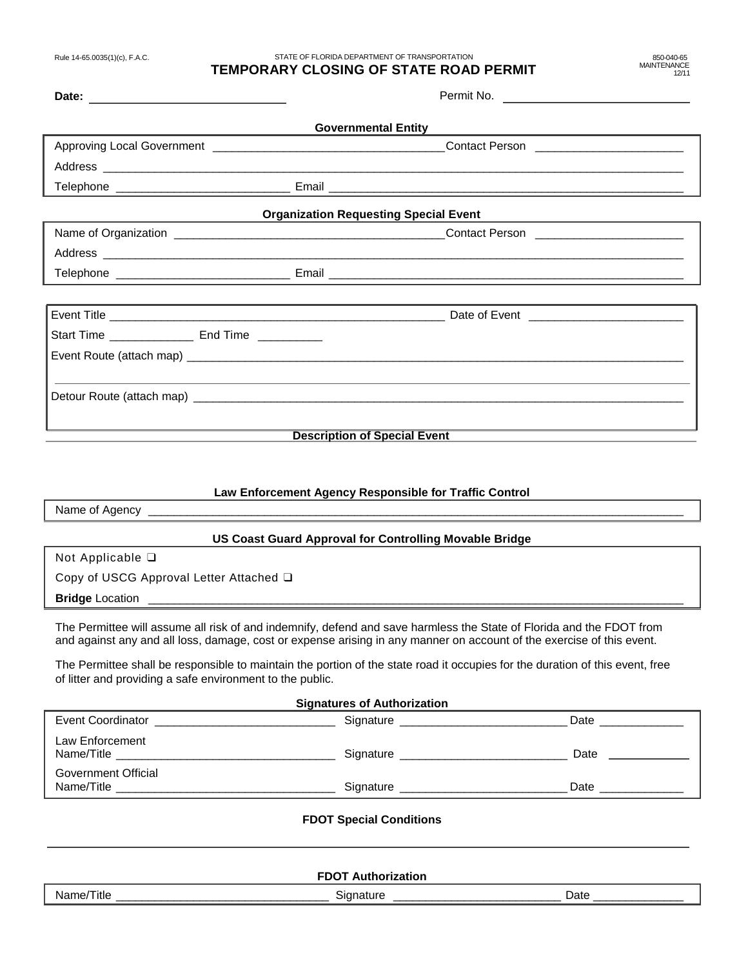STATE OF FLORIDA DEPARTMENT OF TRANSPORTATION

### **TEMPORARY CLOSING OF STATE ROAD PERMIT**

850-040-65 **MAINTENANCE** 12/11

| Date: <u>_____________________</u>                  |                                              |                                                                                                                                                                                                                                      |  |
|-----------------------------------------------------|----------------------------------------------|--------------------------------------------------------------------------------------------------------------------------------------------------------------------------------------------------------------------------------------|--|
|                                                     |                                              |                                                                                                                                                                                                                                      |  |
|                                                     |                                              |                                                                                                                                                                                                                                      |  |
|                                                     |                                              | Address <b>contract and a set of the contract of the contract of the contract of the contract of the contract of the contract of the contract of the contract of the contract of the contract of the contract of the contract of</b> |  |
|                                                     |                                              |                                                                                                                                                                                                                                      |  |
|                                                     | <b>Organization Requesting Special Event</b> |                                                                                                                                                                                                                                      |  |
|                                                     |                                              |                                                                                                                                                                                                                                      |  |
|                                                     |                                              |                                                                                                                                                                                                                                      |  |
|                                                     |                                              |                                                                                                                                                                                                                                      |  |
|                                                     |                                              |                                                                                                                                                                                                                                      |  |
|                                                     |                                              |                                                                                                                                                                                                                                      |  |
| Start Time __________________ End Time ____________ |                                              |                                                                                                                                                                                                                                      |  |
|                                                     |                                              |                                                                                                                                                                                                                                      |  |
|                                                     |                                              | ,我们也不会有什么。""我们的人,我们也不会有什么?""我们的人,我们也不会有什么?""我们的人,我们也不会有什么?""我们的人,我们也不会有什么?""我们的人                                                                                                                                                     |  |
|                                                     |                                              |                                                                                                                                                                                                                                      |  |
|                                                     |                                              |                                                                                                                                                                                                                                      |  |
|                                                     |                                              | Description of Special Event <b>Exercise Section Act 2014</b>                                                                                                                                                                        |  |
|                                                     |                                              |                                                                                                                                                                                                                                      |  |
|                                                     |                                              |                                                                                                                                                                                                                                      |  |
|                                                     |                                              | _ … … … _ … …                                                                                                                                                                                                                        |  |

#### **Law Enforcement Agency Responsible for Traffic Control**

Name of Agency

### **US Coast Guard Approval for Controlling Movable Bridge**

Not Applicable ❑

Copy of USCG Approval Letter Attached ❑

**Bridge** Location

The Permittee will assume all risk of and indemnify, defend and save harmless the State of Florida and the FDOT from and against any and all loss, damage, cost or expense arising in any manner on account of the exercise of this event.

The Permittee shall be responsible to maintain the portion of the state road it occupies for the duration of this event, free of litter and providing a safe environment to the public.

| <b>Signatures of Authorization</b> |                            |      |  |
|------------------------------------|----------------------------|------|--|
| Event Coordinator                  | Signature ________________ | Date |  |
| Law Enforcement<br>Name/Title      | Signature                  | Date |  |
| Government Official<br>Name/Title  | Signature                  | Date |  |

### **FDOT Special Conditions**

|                     | <b>FDOT Authorization</b> |      |
|---------------------|---------------------------|------|
| Title<br>Nan<br>ne/ | Signature<br>ت·           | Date |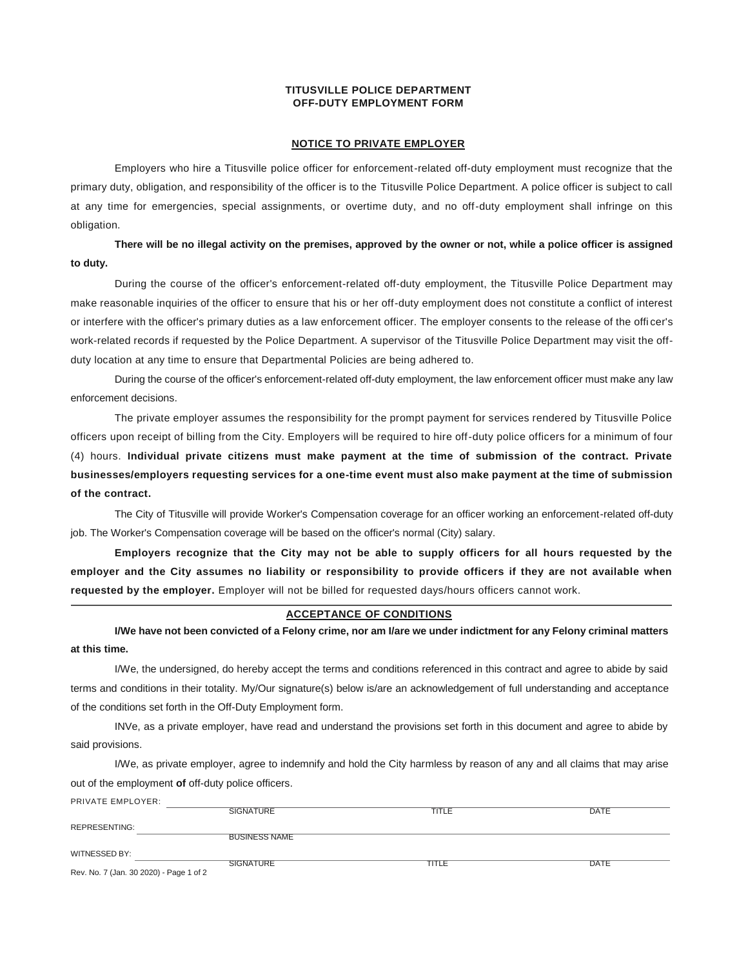#### **TITUSVILLE POLICE DEPARTMENT OFF-DUTY EMPLOYMENT FORM**

#### **NOTICE TO PRIVATE EMPLOYER**

Employers who hire a Titusville police officer for enforcement-related off-duty employment must recognize that the primary duty, obligation, and responsibility of the officer is to the Titusville Police Department. A police officer is subject to call at any time for emergencies, special assignments, or overtime duty, and no off-duty employment shall infringe on this obligation.

**There will be no illegal activity on the premises, approved by the owner or not, while a police officer is assigned to duty.**

During the course of the officer's enforcement-related off-duty employment, the Titusville Police Department may make reasonable inquiries of the officer to ensure that his or her off-duty employment does not constitute a conflict of interest or interfere with the officer's primary duties as a law enforcement officer. The employer consents to the release of the offi cer's work-related records if requested by the Police Department. A supervisor of the Titusville Police Department may visit the offduty location at any time to ensure that Departmental Policies are being adhered to.

During the course of the officer's enforcement-related off-duty employment, the law enforcement officer must make any law enforcement decisions.

The private employer assumes the responsibility for the prompt payment for services rendered by Titusville Police officers upon receipt of billing from the City. Employers will be required to hire off-duty police officers for a minimum of four (4) hours. **Individual private citizens must make payment at the time of submission of the contract. Private businesses/employers requesting services for a one-time event must also make payment at the time of submission of the contract.**

The City of Titusville will provide Worker's Compensation coverage for an officer working an enforcement-related off-duty job. The Worker's Compensation coverage will be based on the officer's normal (City) salary.

**Employers recognize that the City may not be able to supply officers for all hours requested by the employer and the City assumes no liability or responsibility to provide officers if they are not available when requested by the employer.** Employer will not be billed for requested days/hours officers cannot work.

#### **ACCEPTANCE OF CONDITIONS**

**I/We have not been convicted of a Felony crime, nor am I/are we under indictment for any Felony criminal matters at this time.**

I/We, the undersigned, do hereby accept the terms and conditions referenced in this contract and agree to abide by said terms and conditions in their totality. My/Our signature(s) below is/are an acknowledgement of full understanding and acceptance of the conditions set forth in the Off-Duty Employment form.

INVe, as a private employer, have read and understand the provisions set forth in this document and agree to abide by said provisions.

I/We, as private employer, agree to indemnify and hold the City harmless by reason of any and all claims that may arise out of the employment **of** off-duty police officers.

PRIVATE EMPLOYER:

| FNIVAIL LIVIFLUILN.                     |                      |       |             |
|-----------------------------------------|----------------------|-------|-------------|
|                                         | <b>SIGNATURE</b>     | TITLE | <b>DATE</b> |
|                                         |                      |       |             |
| REPRESENTING:                           |                      |       |             |
|                                         | <b>BUSINESS NAME</b> |       |             |
|                                         |                      |       |             |
|                                         |                      |       |             |
| WITNESSED BY:                           |                      |       |             |
|                                         | <b>SIGNATURE</b>     | TITLE | <b>DATE</b> |
| Rev. No. 7 (Jan. 30 2020) - Page 1 of 2 |                      |       |             |
|                                         |                      |       |             |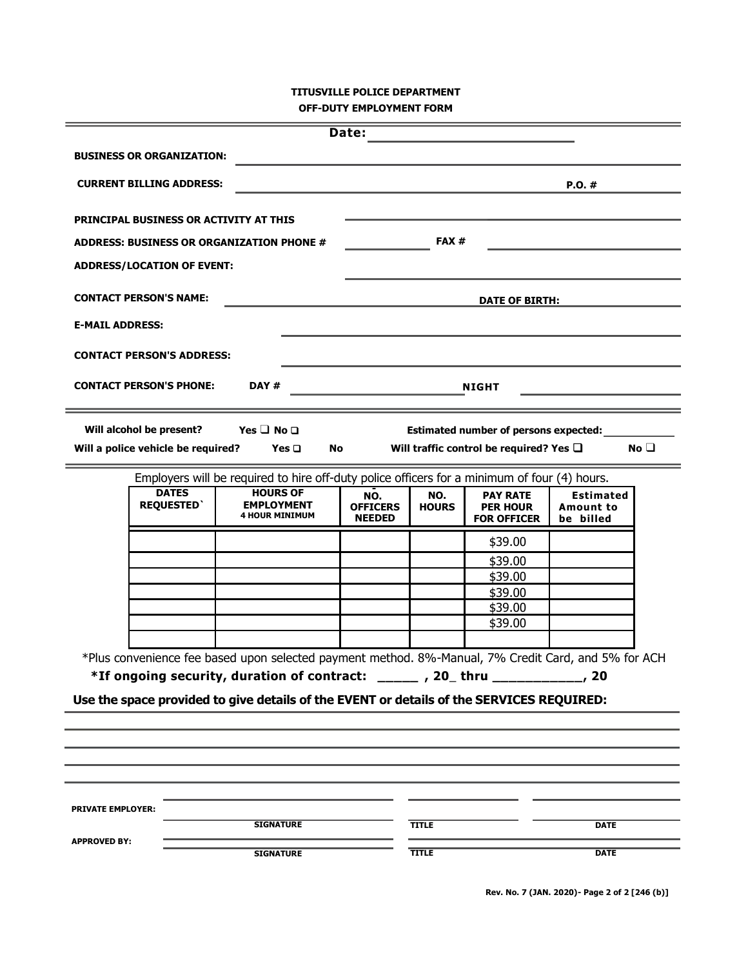## **TITUSVILLE POLICE DEPARTMENT OFF-DUTY EMPLOYMENT FORM**

|                                                                                                                                                                                                                                                                              |                                               |                                                                                              | Date:                                   |                     |                                                          |                                                   |              |
|------------------------------------------------------------------------------------------------------------------------------------------------------------------------------------------------------------------------------------------------------------------------------|-----------------------------------------------|----------------------------------------------------------------------------------------------|-----------------------------------------|---------------------|----------------------------------------------------------|---------------------------------------------------|--------------|
|                                                                                                                                                                                                                                                                              | <b>BUSINESS OR ORGANIZATION:</b>              |                                                                                              |                                         |                     |                                                          |                                                   |              |
|                                                                                                                                                                                                                                                                              | <b>CURRENT BILLING ADDRESS:</b>               |                                                                                              |                                         |                     |                                                          | $P.O.$ #                                          |              |
|                                                                                                                                                                                                                                                                              | <b>PRINCIPAL BUSINESS OR ACTIVITY AT THIS</b> |                                                                                              |                                         |                     |                                                          |                                                   |              |
|                                                                                                                                                                                                                                                                              |                                               | ADDRESS: BUSINESS OR ORGANIZATION PHONE #                                                    |                                         | FAX#                |                                                          |                                                   |              |
|                                                                                                                                                                                                                                                                              | <b>ADDRESS/LOCATION OF EVENT:</b>             |                                                                                              |                                         |                     |                                                          |                                                   |              |
|                                                                                                                                                                                                                                                                              | <b>CONTACT PERSON'S NAME:</b>                 |                                                                                              |                                         |                     | <b>DATE OF BIRTH:</b>                                    |                                                   |              |
| <b>E-MAIL ADDRESS:</b>                                                                                                                                                                                                                                                       |                                               |                                                                                              |                                         |                     |                                                          |                                                   |              |
|                                                                                                                                                                                                                                                                              | <b>CONTACT PERSON'S ADDRESS:</b>              |                                                                                              |                                         |                     |                                                          |                                                   |              |
|                                                                                                                                                                                                                                                                              | <b>CONTACT PERSON'S PHONE:</b>                | DAY#                                                                                         |                                         |                     | <b>NIGHT</b>                                             |                                                   |              |
|                                                                                                                                                                                                                                                                              | Will alcohol be present?                      | Yes $\Box$ No $\Box$                                                                         |                                         |                     | <b>Estimated number of persons expected:</b>             |                                                   |              |
|                                                                                                                                                                                                                                                                              | Will a police vehicle be required?            | Yes $\Box$<br>No                                                                             |                                         |                     | Will traffic control be required? Yes $\square$          |                                                   | No $\square$ |
|                                                                                                                                                                                                                                                                              |                                               | Employers will be required to hire off-duty police officers for a minimum of four (4) hours. |                                         |                     |                                                          |                                                   |              |
|                                                                                                                                                                                                                                                                              | <b>DATES</b><br><b>REQUESTED</b>              | <b>HOURS OF</b><br><b>EMPLOYMENT</b><br><b>4 HOUR MINIMUM</b>                                | NO.<br><b>OFFICERS</b><br><b>NEEDED</b> | NO.<br><b>HOURS</b> | <b>PAY RATE</b><br><b>PER HOUR</b><br><b>FOR OFFICER</b> | <b>Estimated</b><br><b>Amount to</b><br>be billed |              |
|                                                                                                                                                                                                                                                                              |                                               |                                                                                              |                                         |                     | \$39.00                                                  |                                                   |              |
|                                                                                                                                                                                                                                                                              |                                               |                                                                                              |                                         |                     | \$39.00                                                  |                                                   |              |
|                                                                                                                                                                                                                                                                              |                                               |                                                                                              |                                         |                     | \$39.00                                                  |                                                   |              |
|                                                                                                                                                                                                                                                                              |                                               |                                                                                              |                                         |                     | \$39.00                                                  |                                                   |              |
|                                                                                                                                                                                                                                                                              |                                               |                                                                                              |                                         |                     | \$39.00                                                  |                                                   |              |
|                                                                                                                                                                                                                                                                              |                                               |                                                                                              |                                         |                     | \$39.00                                                  |                                                   |              |
| *Plus convenience fee based upon selected payment method. 8%-Manual, 7% Credit Card, and 5% for ACH<br>*If ongoing security, duration of contract: _____, 20_thru __________, 20<br>Use the space provided to give details of the EVENT or details of the SERVICES REQUIRED: |                                               |                                                                                              |                                         |                     |                                                          |                                                   |              |
|                                                                                                                                                                                                                                                                              |                                               |                                                                                              |                                         |                     |                                                          |                                                   |              |
|                                                                                                                                                                                                                                                                              |                                               |                                                                                              |                                         |                     |                                                          |                                                   |              |
|                                                                                                                                                                                                                                                                              |                                               |                                                                                              |                                         |                     |                                                          |                                                   |              |
|                                                                                                                                                                                                                                                                              |                                               |                                                                                              |                                         |                     |                                                          |                                                   |              |
| <b>PRIVATE EMPLOYER:</b>                                                                                                                                                                                                                                                     |                                               |                                                                                              |                                         |                     |                                                          |                                                   |              |
|                                                                                                                                                                                                                                                                              |                                               | <b>SIGNATURE</b>                                                                             |                                         | <b>TITLE</b>        |                                                          | <b>DATE</b>                                       |              |
| <b>APPROVED BY:</b>                                                                                                                                                                                                                                                          |                                               | <b>SIGNATURE</b>                                                                             |                                         | <b>TITLE</b>        |                                                          | <b>DATE</b>                                       |              |